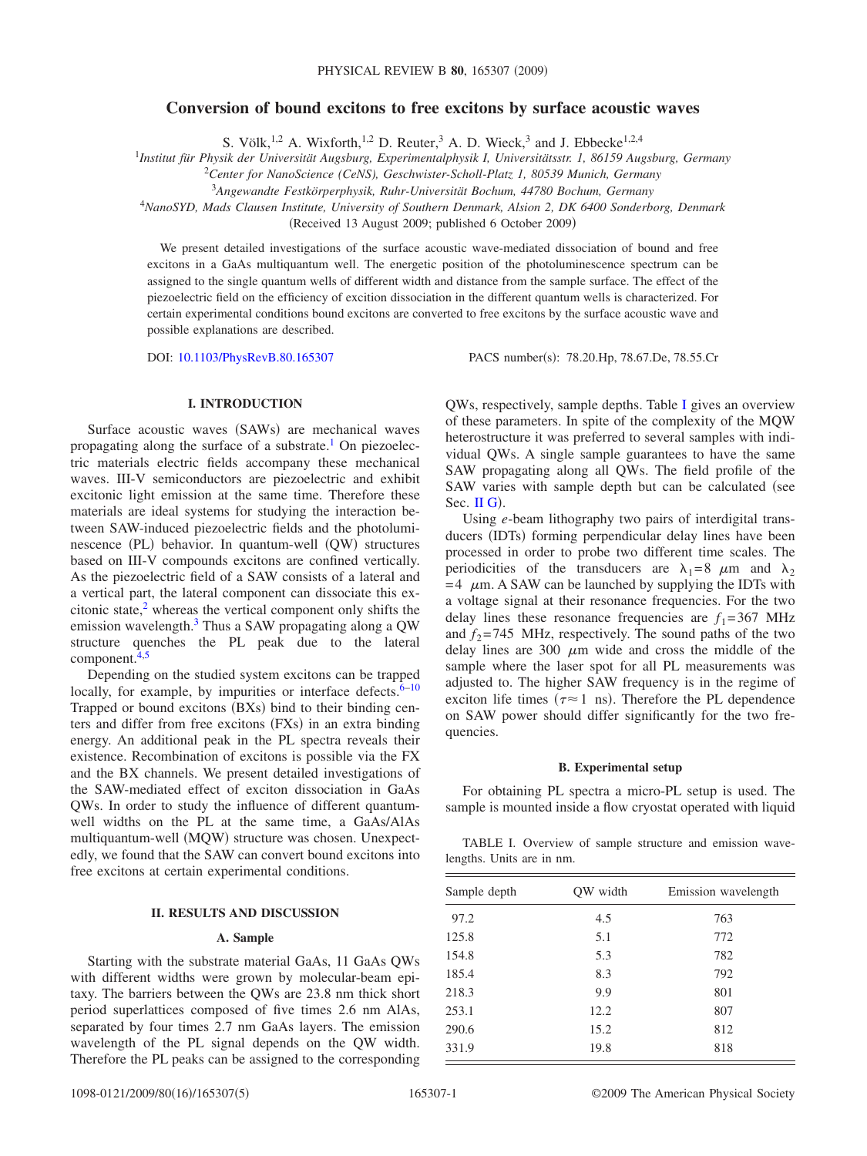# **Conversion of bound excitons to free excitons by surface acoustic waves**

S. Völk,  $^{1,2}$  A. Wixforth,  $^{1,2}$  D. Reuter, <sup>3</sup> A. D. Wieck, <sup>3</sup> and J. Ebbecke<sup>1,2,4</sup>

1 *Institut für Physik der Universität Augsburg, Experimentalphysik I, Universitätsstr. 1, 86159 Augsburg, Germany*

2 *Center for NanoScience (CeNS), Geschwister-Scholl-Platz 1, 80539 Munich, Germany*

3 *Angewandte Festkörperphysik, Ruhr-Universität Bochum, 44780 Bochum, Germany*

<sup>4</sup>*NanoSYD, Mads Clausen Institute, University of Southern Denmark, Alsion 2, DK 6400 Sonderborg, Denmark*

(Received 13 August 2009; published 6 October 2009)

We present detailed investigations of the surface acoustic wave-mediated dissociation of bound and free excitons in a GaAs multiquantum well. The energetic position of the photoluminescence spectrum can be assigned to the single quantum wells of different width and distance from the sample surface. The effect of the piezoelectric field on the efficiency of excition dissociation in the different quantum wells is characterized. For certain experimental conditions bound excitons are converted to free excitons by the surface acoustic wave and possible explanations are described.

DOI: [10.1103/PhysRevB.80.165307](http://dx.doi.org/10.1103/PhysRevB.80.165307)

PACS number(s): 78.20.Hp, 78.67.De, 78.55.Cr

# **I. INTRODUCTION**

Surface acoustic waves (SAWs) are mechanical waves propagating along the surface of a substrate.<sup>1</sup> On piezoelectric materials electric fields accompany these mechanical waves. III-V semiconductors are piezoelectric and exhibit excitonic light emission at the same time. Therefore these materials are ideal systems for studying the interaction between SAW-induced piezoelectric fields and the photoluminescence (PL) behavior. In quantum-well (QW) structures based on III-V compounds excitons are confined vertically. As the piezoelectric field of a SAW consists of a lateral and a vertical part, the lateral component can dissociate this excitonic state, $<sup>2</sup>$  whereas the vertical component only shifts the</sup> emission wavelength.<sup>3</sup> Thus a SAW propagating along a QW structure quenches the PL peak due to the lateral component[.4,](#page-4-3)[5](#page-4-4)

Depending on the studied system excitons can be trapped locally, for example, by impurities or interface defects. $6-10$ Trapped or bound excitons (BXs) bind to their binding centers and differ from free excitons (FXs) in an extra binding energy. An additional peak in the PL spectra reveals their existence. Recombination of excitons is possible via the FX and the BX channels. We present detailed investigations of the SAW-mediated effect of exciton dissociation in GaAs QWs. In order to study the influence of different quantumwell widths on the PL at the same time, a GaAs/AlAs multiquantum-well (MQW) structure was chosen. Unexpectedly, we found that the SAW can convert bound excitons into free excitons at certain experimental conditions.

### **II. RESULTS AND DISCUSSION**

### **A. Sample**

Starting with the substrate material GaAs, 11 GaAs QWs with different widths were grown by molecular-beam epitaxy. The barriers between the QWs are 23.8 nm thick short period superlattices composed of five times 2.6 nm AlAs, separated by four times 2.7 nm GaAs layers. The emission wavelength of the PL signal depends on the QW width. Therefore the PL peaks can be assigned to the corresponding QWs, respectively, sample depths. Table [I](#page-0-0) gives an overview of these parameters. In spite of the complexity of the MQW heterostructure it was preferred to several samples with individual QWs. A single sample guarantees to have the same SAW propagating along all QWs. The field profile of the SAW varies with sample depth but can be calculated (see Sec.  $\mathbf{II}$  G).

Using *e*-beam lithography two pairs of interdigital transducers (IDTs) forming perpendicular delay lines have been processed in order to probe two different time scales. The periodicities of the transducers are  $\lambda_1=8$   $\mu$ m and  $\lambda_2$  $=$  4  $\mu$ m. A SAW can be launched by supplying the IDTs with a voltage signal at their resonance frequencies. For the two delay lines these resonance frequencies are  $f_1 = 367$  MHz and  $f_2$ =745 MHz, respectively. The sound paths of the two delay lines are 300  $\mu$ m wide and cross the middle of the sample where the laser spot for all PL measurements was adjusted to. The higher SAW frequency is in the regime of exciton life times ( $\tau \approx 1$  ns). Therefore the PL dependence on SAW power should differ significantly for the two frequencies.

# **B. Experimental setup**

For obtaining PL spectra a micro-PL setup is used. The sample is mounted inside a flow cryostat operated with liquid

<span id="page-0-0"></span>TABLE I. Overview of sample structure and emission wavelengths. Units are in nm.

| Sample depth | OW width | Emission wavelength |
|--------------|----------|---------------------|
| 97.2         | 4.5      | 763                 |
| 125.8        | 5.1      | 772                 |
| 154.8        | 5.3      | 782                 |
| 185.4        | 8.3      | 792                 |
| 218.3        | 9.9      | 801                 |
| 253.1        | 12.2     | 807                 |
| 290.6        | 15.2     | 812                 |
| 331.9        | 19.8     | 818                 |
|              |          |                     |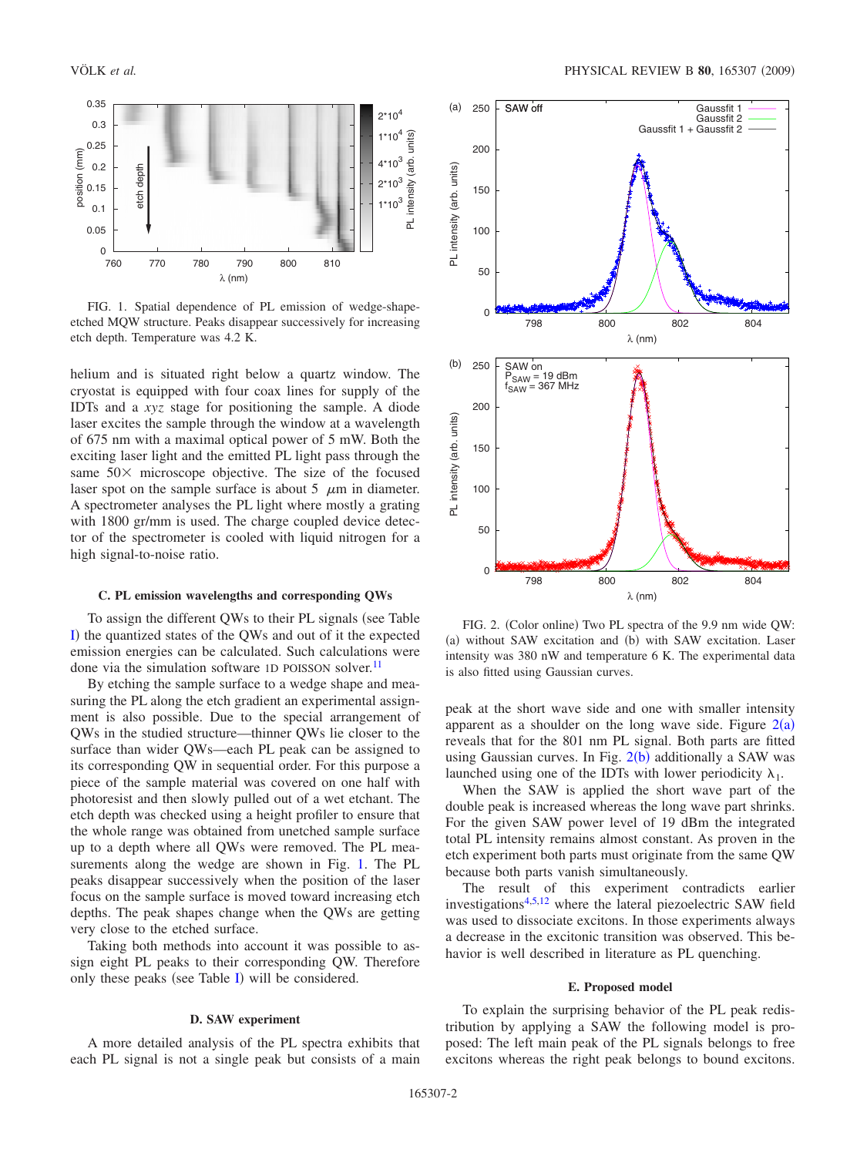<span id="page-1-0"></span>

FIG. 1. Spatial dependence of PL emission of wedge-shapeetched MQW structure. Peaks disappear successively for increasing etch depth. Temperature was 4.2 K.

helium and is situated right below a quartz window. The cryostat is equipped with four coax lines for supply of the IDTs and a *xyz* stage for positioning the sample. A diode laser excites the sample through the window at a wavelength of 675 nm with a maximal optical power of 5 mW. Both the exciting laser light and the emitted PL light pass through the same  $50 \times$  microscope objective. The size of the focused laser spot on the sample surface is about 5  $\mu$ m in diameter. A spectrometer analyses the PL light where mostly a grating with 1800 gr/mm is used. The charge coupled device detector of the spectrometer is cooled with liquid nitrogen for a high signal-to-noise ratio.

### **C. PL emission wavelengths and corresponding QWs**

To assign the different QWs to their PL signals (see Table [I](#page-0-0)) the quantized states of the QWs and out of it the expected emission energies can be calculated. Such calculations were done via the simulation software 1D POISSON solver.<sup>11</sup>

By etching the sample surface to a wedge shape and measuring the PL along the etch gradient an experimental assignment is also possible. Due to the special arrangement of QWs in the studied structure—thinner QWs lie closer to the surface than wider QWs—each PL peak can be assigned to its corresponding QW in sequential order. For this purpose a piece of the sample material was covered on one half with photoresist and then slowly pulled out of a wet etchant. The etch depth was checked using a height profiler to ensure that the whole range was obtained from unetched sample surface up to a depth where all QWs were removed. The PL measurements along the wedge are shown in Fig. [1.](#page-1-0) The PL peaks disappear successively when the position of the laser focus on the sample surface is moved toward increasing etch depths. The peak shapes change when the QWs are getting very close to the etched surface.

Taking both methods into account it was possible to assign eight PL peaks to their corresponding QW. Therefore only these peaks (see Table [I](#page-0-0)) will be considered.

# **D. SAW experiment**

A more detailed analysis of the PL spectra exhibits that each PL signal is not a single peak but consists of a main

<span id="page-1-1"></span>

FIG. 2. (Color online) Two PL spectra of the 9.9 nm wide QW: (a) without SAW excitation and (b) with SAW excitation. Laser intensity was 380 nW and temperature 6 K. The experimental data is also fitted using Gaussian curves.

peak at the short wave side and one with smaller intensity apparent as a shoulder on the long wave side. Figure  $2(a)$  $2(a)$ reveals that for the 801 nm PL signal. Both parts are fitted using Gaussian curves. In Fig. [2](#page-1-1)(b) additionally a SAW was launched using one of the IDTs with lower periodicity  $\lambda_1$ .

When the SAW is applied the short wave part of the double peak is increased whereas the long wave part shrinks. For the given SAW power level of 19 dBm the integrated total PL intensity remains almost constant. As proven in the etch experiment both parts must originate from the same QW because both parts vanish simultaneously.

The result of this experiment contradicts earlier investigation[s4,](#page-4-3)[5,](#page-4-4)[12](#page-4-8) where the lateral piezoelectric SAW field was used to dissociate excitons. In those experiments always a decrease in the excitonic transition was observed. This behavior is well described in literature as PL quenching.

### **E. Proposed model**

To explain the surprising behavior of the PL peak redistribution by applying a SAW the following model is proposed: The left main peak of the PL signals belongs to free excitons whereas the right peak belongs to bound excitons.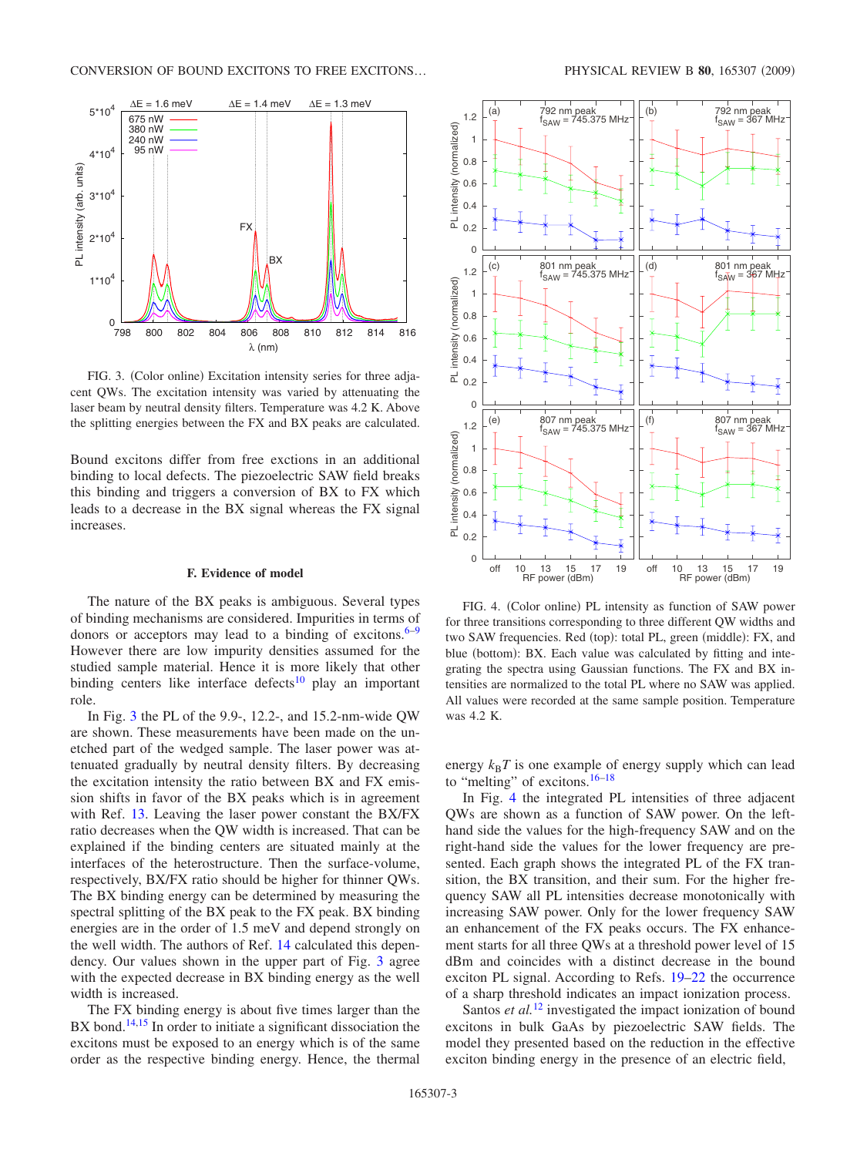<span id="page-2-0"></span>

FIG. 3. (Color online) Excitation intensity series for three adjacent QWs. The excitation intensity was varied by attenuating the laser beam by neutral density filters. Temperature was 4.2 K. Above the splitting energies between the FX and BX peaks are calculated.

Bound excitons differ from free exctions in an additional binding to local defects. The piezoelectric SAW field breaks this binding and triggers a conversion of BX to FX which leads to a decrease in the BX signal whereas the FX signal increases.

### **F. Evidence of model**

The nature of the BX peaks is ambiguous. Several types of binding mechanisms are considered. Impurities in terms of donors or acceptors may lead to a binding of excitons. $6-9$ However there are low impurity densities assumed for the studied sample material. Hence it is more likely that other binding centers like interface defects<sup>10</sup> play an important role.

In Fig. [3](#page-2-0) the PL of the 9.9-, 12.2-, and 15.2-nm-wide QW are shown. These measurements have been made on the unetched part of the wedged sample. The laser power was attenuated gradually by neutral density filters. By decreasing the excitation intensity the ratio between BX and FX emission shifts in favor of the BX peaks which is in agreement with Ref. [13.](#page-4-10) Leaving the laser power constant the BX/FX ratio decreases when the QW width is increased. That can be explained if the binding centers are situated mainly at the interfaces of the heterostructure. Then the surface-volume, respectively, BX/FX ratio should be higher for thinner QWs. The BX binding energy can be determined by measuring the spectral splitting of the BX peak to the FX peak. BX binding energies are in the order of 1.5 meV and depend strongly on the well width. The authors of Ref. [14](#page-4-11) calculated this dependency. Our values shown in the upper part of Fig. [3](#page-2-0) agree with the expected decrease in BX binding energy as the well width is increased.

The FX binding energy is about five times larger than the BX bond.<sup>14[,15](#page-4-12)</sup> In order to initiate a significant dissociation the excitons must be exposed to an energy which is of the same order as the respective binding energy. Hence, the thermal

<span id="page-2-1"></span>

FIG. 4. (Color online) PL intensity as function of SAW power for three transitions corresponding to three different QW widths and two SAW frequencies. Red (top): total PL, green (middle): FX, and blue (bottom): BX. Each value was calculated by fitting and integrating the spectra using Gaussian functions. The FX and BX intensities are normalized to the total PL where no SAW was applied. All values were recorded at the same sample position. Temperature was 4.2 K.

energy  $k_B T$  is one example of energy supply which can lead to "melting" of excitons[.16](#page-4-13)[–18](#page-4-14)

In Fig. [4](#page-2-1) the integrated PL intensities of three adjacent QWs are shown as a function of SAW power. On the lefthand side the values for the high-frequency SAW and on the right-hand side the values for the lower frequency are presented. Each graph shows the integrated PL of the FX transition, the BX transition, and their sum. For the higher frequency SAW all PL intensities decrease monotonically with increasing SAW power. Only for the lower frequency SAW an enhancement of the FX peaks occurs. The FX enhancement starts for all three QWs at a threshold power level of 15 dBm and coincides with a distinct decrease in the bound exciton PL signal. According to Refs. [19–](#page-4-15)[22](#page-4-16) the occurrence of a sharp threshold indicates an impact ionization process.

Santos *et al.*<sup>[12](#page-4-8)</sup> investigated the impact ionization of bound excitons in bulk GaAs by piezoelectric SAW fields. The model they presented based on the reduction in the effective exciton binding energy in the presence of an electric field,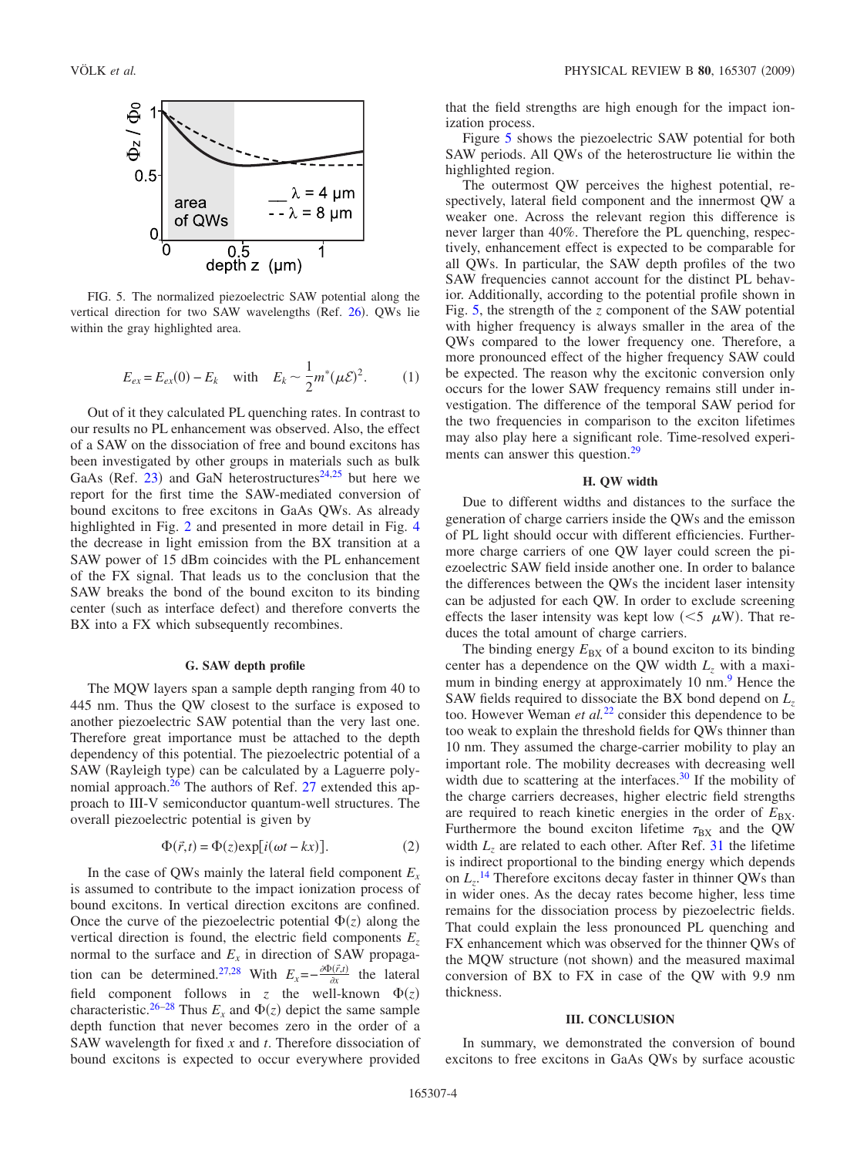<span id="page-3-1"></span>

FIG. 5. The normalized piezoelectric SAW potential along the vertical direction for two SAW wavelengths (Ref. [26](#page-4-20)). QWs lie within the gray highlighted area.

$$
E_{ex} = E_{ex}(0) - E_k
$$
 with  $E_k \sim \frac{1}{2} m^* (\mu \mathcal{E})^2$ . (1)

Out of it they calculated PL quenching rates. In contrast to our results no PL enhancement was observed. Also, the effect of a SAW on the dissociation of free and bound excitons has been investigated by other groups in materials such as bulk GaAs (Ref. [23](#page-4-17)) and GaN heterostructures<sup>24,[25](#page-4-19)</sup> but here we report for the first time the SAW-mediated conversion of bound excitons to free excitons in GaAs QWs. As already highlighted in Fig. [2](#page-1-1) and presented in more detail in Fig. [4](#page-2-1) the decrease in light emission from the BX transition at a SAW power of 15 dBm coincides with the PL enhancement of the FX signal. That leads us to the conclusion that the SAW breaks the bond of the bound exciton to its binding center (such as interface defect) and therefore converts the BX into a FX which subsequently recombines.

### **G. SAW depth profile**

<span id="page-3-0"></span>The MQW layers span a sample depth ranging from 40 to 445 nm. Thus the QW closest to the surface is exposed to another piezoelectric SAW potential than the very last one. Therefore great importance must be attached to the depth dependency of this potential. The piezoelectric potential of a SAW (Rayleigh type) can be calculated by a Laguerre poly-nomial approach.<sup>26</sup> The authors of Ref. [27](#page-4-21) extended this approach to III-V semiconductor quantum-well structures. The overall piezoelectric potential is given by

$$
\Phi(\vec{r},t) = \Phi(z) \exp[i(\omega t - kx)].
$$
\n(2)

In the case of QWs mainly the lateral field component  $E<sub>x</sub>$ is assumed to contribute to the impact ionization process of bound excitons. In vertical direction excitons are confined. Once the curve of the piezoelectric potential  $\Phi(z)$  along the vertical direction is found, the electric field components *Ez* normal to the surface and  $E<sub>x</sub>$  in direction of SAW propaga-tion can be determined.<sup>27,[28](#page-4-22)</sup> With  $E_x = -\frac{\partial \Phi(\vec{r},t)}{\partial x}$  the lateral field component follows in *z* the well-known  $\Phi(z)$ characteristic.<sup>26[–28](#page-4-22)</sup> Thus  $E_x$  and  $\Phi(z)$  depict the same sample depth function that never becomes zero in the order of a SAW wavelength for fixed *x* and *t*. Therefore dissociation of bound excitons is expected to occur everywhere provided that the field strengths are high enough for the impact ionization process.

Figure [5](#page-3-1) shows the piezoelectric SAW potential for both SAW periods. All QWs of the heterostructure lie within the highlighted region.

The outermost QW perceives the highest potential, respectively, lateral field component and the innermost QW a weaker one. Across the relevant region this difference is never larger than 40%. Therefore the PL quenching, respectively, enhancement effect is expected to be comparable for all QWs. In particular, the SAW depth profiles of the two SAW frequencies cannot account for the distinct PL behavior. Additionally, according to the potential profile shown in Fig. [5,](#page-3-1) the strength of the *z* component of the SAW potential with higher frequency is always smaller in the area of the QWs compared to the lower frequency one. Therefore, a more pronounced effect of the higher frequency SAW could be expected. The reason why the excitonic conversion only occurs for the lower SAW frequency remains still under investigation. The difference of the temporal SAW period for the two frequencies in comparison to the exciton lifetimes may also play here a significant role. Time-resolved experiments can answer this question.<sup>29</sup>

#### **H. QW width**

Due to different widths and distances to the surface the generation of charge carriers inside the QWs and the emisson of PL light should occur with different efficiencies. Furthermore charge carriers of one QW layer could screen the piezoelectric SAW field inside another one. In order to balance the differences between the QWs the incident laser intensity can be adjusted for each QW. In order to exclude screening effects the laser intensity was kept low  $(< 5 \mu W)$ . That reduces the total amount of charge carriers.

The binding energy  $E_{\text{BX}}$  of a bound exciton to its binding center has a dependence on the QW width  $L_z$  with a maximum in binding energy at approximately 10 nm.<sup>9</sup> Hence the SAW fields required to dissociate the BX bond depend on *Lz* too. However Weman *et al.*<sup>[22](#page-4-16)</sup> consider this dependence to be too weak to explain the threshold fields for QWs thinner than 10 nm. They assumed the charge-carrier mobility to play an important role. The mobility decreases with decreasing well width due to scattering at the interfaces. $30$  If the mobility of the charge carriers decreases, higher electric field strengths are required to reach kinetic energies in the order of  $E_{\text{BY}}$ . Furthermore the bound exciton lifetime  $\tau_{BX}$  and the QW width  $L<sub>z</sub>$  are related to each other. After Ref. [31](#page-4-25) the lifetime is indirect proportional to the binding energy which depends on  $L_z$ <sup>[14](#page-4-11)</sup> Therefore excitons decay faster in thinner QWs than in wider ones. As the decay rates become higher, less time remains for the dissociation process by piezoelectric fields. That could explain the less pronounced PL quenching and FX enhancement which was observed for the thinner QWs of the MQW structure (not shown) and the measured maximal conversion of BX to FX in case of the QW with 9.9 nm thickness.

### **III. CONCLUSION**

In summary, we demonstrated the conversion of bound excitons to free excitons in GaAs QWs by surface acoustic